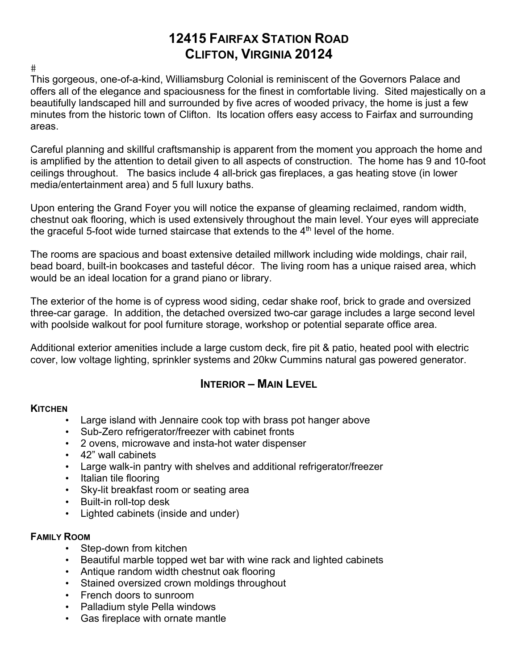# **12415 FAIRFAX STATION ROAD CLIFTON, VIRGINIA 20124**

 $#$ 

This gorgeous, one-of-a-kind, Williamsburg Colonial is reminiscent of the Governors Palace and offers all of the elegance and spaciousness for the finest in comfortable living. Sited majestically on a beautifully landscaped hill and surrounded by five acres of wooded privacy, the home is just a few minutes from the historic town of Clifton. Its location offers easy access to Fairfax and surrounding areas.

Careful planning and skillful craftsmanship is apparent from the moment you approach the home and is amplified by the attention to detail given to all aspects of construction. The home has 9 and 10-foot ceilings throughout. The basics include 4 all-brick gas fireplaces, a gas heating stove (in lower media/entertainment area) and 5 full luxury baths.

Upon entering the Grand Foyer you will notice the expanse of gleaming reclaimed, random width, chestnut oak flooring, which is used extensively throughout the main level. Your eyes will appreciate the graceful 5-foot wide turned staircase that extends to the  $4<sup>th</sup>$  level of the home.

The rooms are spacious and boast extensive detailed millwork including wide moldings, chair rail, bead board, built-in bookcases and tasteful décor. The living room has a unique raised area, which would be an ideal location for a grand piano or library.

The exterior of the home is of cypress wood siding, cedar shake roof, brick to grade and oversized three-car garage. In addition, the detached oversized two-car garage includes a large second level with poolside walkout for pool furniture storage, workshop or potential separate office area.

Additional exterior amenities include a large custom deck, fire pit & patio, heated pool with electric cover, low voltage lighting, sprinkler systems and 20kw Cummins natural gas powered generator.

# **INTERIOR – MAIN LEVEL**

#### **KITCHEN**

- Large island with Jennaire cook top with brass pot hanger above
- Sub-Zero refrigerator/freezer with cabinet fronts
- 2 ovens, microwave and insta-hot water dispenser
- 42" wall cabinets
- Large walk-in pantry with shelves and additional refrigerator/freezer
- Italian tile flooring
- Sky-lit breakfast room or seating area
- Built-in roll-top desk
- Lighted cabinets (inside and under)

### **FAMILY ROOM**

- Step-down from kitchen
- Beautiful marble topped wet bar with wine rack and lighted cabinets
- Antique random width chestnut oak flooring
- Stained oversized crown moldings throughout
- French doors to sunroom
- Palladium style Pella windows
- Gas fireplace with ornate mantle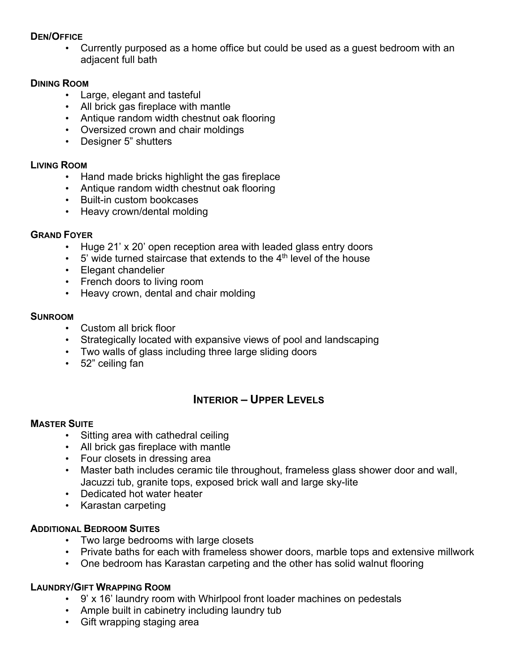#### **DEN/OFFICE**

• Currently purposed as a home office but could be used as a guest bedroom with an adjacent full bath

#### **DINING ROOM**

- Large, elegant and tasteful
- All brick gas fireplace with mantle
- Antique random width chestnut oak flooring
- Oversized crown and chair moldings
- Designer 5" shutters

#### **LIVING ROOM**

- Hand made bricks highlight the gas fireplace
- Antique random width chestnut oak flooring
- Built-in custom bookcases
- Heavy crown/dental molding

#### **GRAND FOYER**

- Huge 21' x 20' open reception area with leaded glass entry doors
- $\cdot$  5' wide turned staircase that extends to the 4<sup>th</sup> level of the house
- Elegant chandelier
- French doors to living room
- Heavy crown, dental and chair molding

#### **SUNROOM**

- Custom all brick floor
- Strategically located with expansive views of pool and landscaping
- Two walls of glass including three large sliding doors
- 52" ceiling fan

# **INTERIOR – UPPER LEVELS**

#### **MASTER SUITE**

- Sitting area with cathedral ceiling
- All brick gas fireplace with mantle
- Four closets in dressing area
- Master bath includes ceramic tile throughout, frameless glass shower door and wall, Jacuzzi tub, granite tops, exposed brick wall and large sky-lite
- Dedicated hot water heater
- Karastan carpeting

#### **ADDITIONAL BEDROOM SUITES**

- Two large bedrooms with large closets
- Private baths for each with frameless shower doors, marble tops and extensive millwork
- One bedroom has Karastan carpeting and the other has solid walnut flooring

#### **LAUNDRY/GIFT WRAPPING ROOM**

- 9' x 16' laundry room with Whirlpool front loader machines on pedestals
- Ample built in cabinetry including laundry tub
- Gift wrapping staging area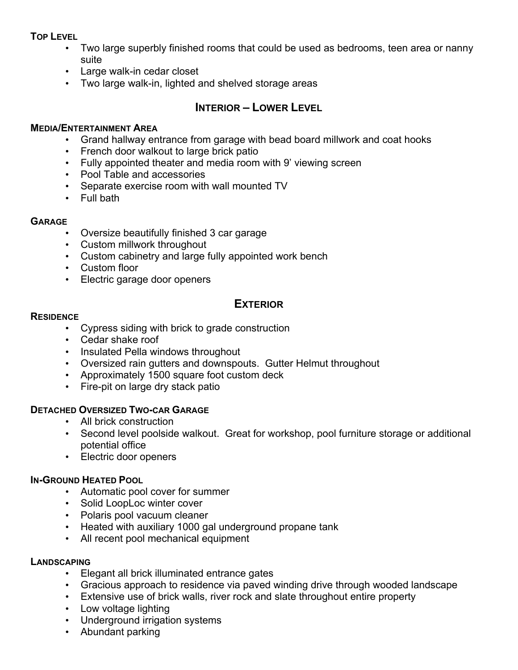#### **TOP LEVEL**

- Two large superbly finished rooms that could be used as bedrooms, teen area or nanny suite
- Large walk-in cedar closet
- Two large walk-in, lighted and shelved storage areas

### **INTERIOR – LOWER LEVEL**

#### **MEDIA/ENTERTAINMENT AREA**

- Grand hallway entrance from garage with bead board millwork and coat hooks
- French door walkout to large brick patio
- Fully appointed theater and media room with 9' viewing screen
- Pool Table and accessories
- Separate exercise room with wall mounted TV
- Full bath

#### **GARAGE**

- Oversize beautifully finished 3 car garage
- Custom millwork throughout
- Custom cabinetry and large fully appointed work bench
- Custom floor
- Electric garage door openers

### **EXTERIOR**

#### **RESIDENCE**

- Cypress siding with brick to grade construction
- Cedar shake roof
- Insulated Pella windows throughout
- Oversized rain gutters and downspouts. Gutter Helmut throughout
- Approximately 1500 square foot custom deck
- Fire-pit on large dry stack patio

#### **DETACHED OVERSIZED TWO-CAR GARAGE**

- All brick construction
- Second level poolside walkout. Great for workshop, pool furniture storage or additional potential office
- Electric door openers

#### **IN-GROUND HEATED POOL**

- Automatic pool cover for summer
- Solid LoopLoc winter cover
- Polaris pool vacuum cleaner
- Heated with auxiliary 1000 gal underground propane tank
- All recent pool mechanical equipment

#### **LANDSCAPING**

- Elegant all brick illuminated entrance gates
- Gracious approach to residence via paved winding drive through wooded landscape
- Extensive use of brick walls, river rock and slate throughout entire property
- Low voltage lighting
- Underground irrigation systems
- Abundant parking